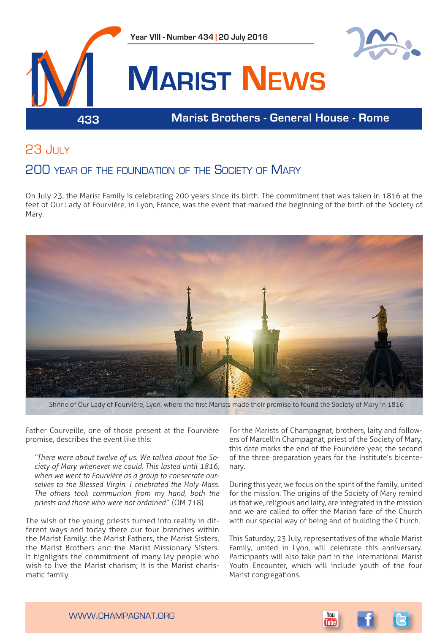

# 23 July

## 200 year of the foundation of the Society of Mary

On July 23, the Marist Family is celebrating 200 years since its birth. The commitment that was taken in 1816 at the feet of Our Lady of Fourvière, in Lyon, France, was the event that marked the beginning of the birth of the Society of Mary.



Shrine of Our Lady of Fourvière, Lyon, where the first Marists made their promise to found the Society of Mary in 1816

Father Courveille, one of those present at the Fourvière promise, describes the event like this:

*"There were about twelve of us. We talked about the Society of Mary whenever we could. This lasted until 1816, when we went to Fourvière as a group to consecrate ourselves to the Blessed Virgin. I celebrated the Holy Mass. The others took communion from my hand, both the priests and those who were not ordained"* (OM 718)

The wish of the young priests turned into reality in different ways and today there our four branches within the Marist Family: the Marist Fathers, the Marist Sisters, the Marist Brothers and the Marist Missionary Sisters. It highlights the commitment of many lay people who wish to live the Marist charism; it is the Marist charismatic family.

For the Marists of Champagnat, brothers, laity and followers of Marcellin Champagnat, priest of the Society of Mary, this date marks the end of the Fourvière year, the second of the three preparation years for the Institute's bicentenary.

During this year, we focus on the spirit of the family, united for the mission. The origins of the Society of Mary remind us that we, religious and laity, are integrated in the mission and we are called to offer the Marian face of the Church with our special way of being and of building the Church.

This Saturday, 23 July, representatives of the whole Marist Family, united in Lyon, will celebrate this anniversary. Participants will also take part in the International Marist Youth Encounter, which will include youth of the four Marist congregations.



www.champagnat.org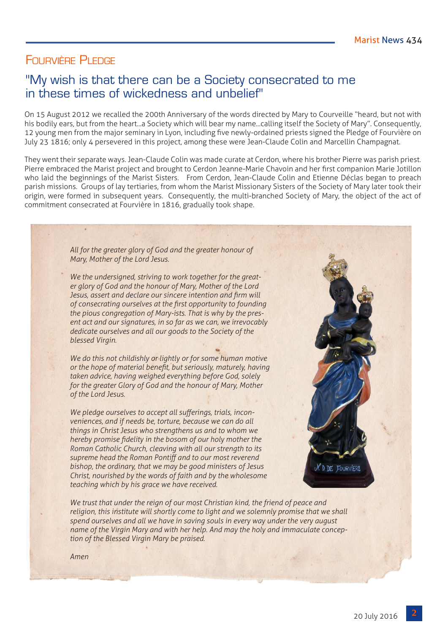### FOURVIÈRE PLEDGE

## "My wish is that there can be a Society consecrated to me in these times of wickedness and unbelief"

On 15 August 2012 we recalled the 200th Anniversary of the words directed by Mary to Courveille "heard, but not with his bodily ears, but from the heart...a Society which will bear my name...calling itself the Society of Mary". Consequently, 12 young men from the major seminary in Lyon, including five newly-ordained priests signed the Pledge of Fourvière on July 23 1816; only 4 persevered in this project, among these were Jean-Claude Colin and Marcellin Champagnat.

They went their separate ways. Jean-Claude Colin was made curate at Cerdon, where his brother Pierre was parish priest. Pierre embraced the Marist project and brought to Cerdon Jeanne-Marie Chavoin and her first companion Marie Jotillon who laid the beginnings of the Marist Sisters. From Cerdon, Jean-Claude Colin and Etienne Déclas began to preach parish missions. Groups of lay tertiaries, from whom the Marist Missionary Sisters of the Society of Mary later took their origin, were formed in subsequent years. Consequently, the multi-branched Society of Mary, the object of the act of commitment consecrated at Fourvière in 1816, gradually took shape.

> *All for the greater glory of God and the greater honour of Mary, Mother of the Lord Jesus.*

*We the undersigned, striving to work together for the greater glory of God and the honour of Mary, Mother of the Lord Jesus, assert and declare our sincere intention and firm will of consecrating ourselves at the first opportunity to founding the pious congregation of Mary-ists. That is why by the present act and our signatures, in so far as we can, we irrevocably dedicate ourselves and all our goods to the Society of the blessed Virgin.*

*We do this not childishly or lightly or for some human motive or the hope of material benefit, but seriously, maturely, having taken advice, having weighed everything before God, solely for the greater Glory of God and the honour of Mary, Mother of the Lord Jesus.*

*We pledge ourselves to accept all sufferings, trials, inconveniences, and if needs be, torture, because we can do all things in Christ Jesus who strengthens us and to whom we hereby promise fidelity in the bosom of our holy mother the Roman Catholic Church, cleaving with all our strength to its supreme head the Roman Pontiff and to our most reverend bishop, the ordinary, that we may be good ministers of Jesus Christ, nourished by the words of faith and by the wholesome teaching which by his grace we have received.*



*We trust that under the reign of our most Christian kind, the friend of peace and religion, this institute will shortly come to light and we solemnly promise that we shall spend ourselves and all we have in saving souls in every way under the very august name of the Virgin Mary and with her help. And may the holy and immaculate conception of the Blessed Virgin Mary be praised.* 

*Amen*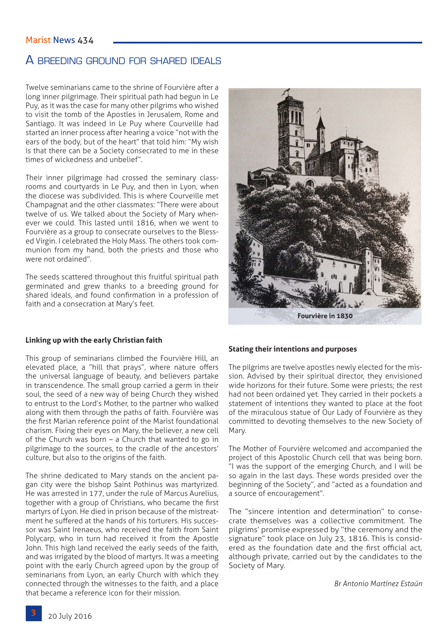#### Marist News 434

### A breeding ground for shared ideals

Twelve seminarians came to the shrine of Fourvière after a long inner pilgrimage. Their spiritual path had begun in Le Puy, as it was the case for many other pilgrims who wished to visit the tomb of the Apostles in Jerusalem, Rome and Santiago. It was indeed in Le Puy where Courveille had started an inner process after hearing a voice "not with the ears of the body, but of the heart" that told him: "My wish is that there can be a Society consecrated to me in these times of wickedness and unbelief".

Their inner pilgrimage had crossed the seminary classrooms and courtyards in Le Puy, and then in Lyon, when the diocese was subdivided. This is where Courveille met Champagnat and the other classmates: "There were about twelve of us. We talked about the Society of Mary whenever we could. This lasted until 1816, when we went to Fourvière as a group to consecrate ourselves to the Blessed Virgin. I celebrated the Holy Mass. The others took communion from my hand, both the priests and those who were not ordained".

The seeds scattered throughout this fruitful spiritual path germinated and grew thanks to a breeding ground for shared ideals, and found confirmation in a profession of faith and a consecration at Mary's feet.



**Linking up with the early Christian faith**

This group of seminarians climbed the Fourvière Hill, an elevated place, a "hill that prays", where nature offers the universal language of beauty, and believers partake in transcendence. The small group carried a germ in their soul, the seed of a new way of being Church they wished to entrust to the Lord's Mother, to the partner who walked along with them through the paths of faith. Fourvière was the first Marian reference point of the Marist foundational charism. Fixing their eyes on Mary, the believer, a new cell of the Church was born  $-$  a Church that wanted to go in pilgrimage to the sources, to the cradle of the ancestors' culture, but also to the origins of the faith.

The shrine dedicated to Mary stands on the ancient pagan city were the bishop Saint Pothinus was martyrized. He was arrested in 177, under the rule of Marcus Aurelius, together with a group of Christians, who became the first martyrs of Lyon. He died in prison because of the mistreatment he suffered at the hands of his torturers. His successor was Saint Irenaeus, who received the faith from Saint Polycarp, who in turn had received it from the Apostle John. This high land received the early seeds of the faith, and was irrigated by the blood of martyrs. It was a meeting point with the early Church agreed upon by the group of seminarians from Lyon, an early Church with which they connected through the witnesses to the faith, and a place that became a reference icon for their mission.

#### **Stating their intentions and purposes**

The pilgrims are twelve apostles newly elected for the mission. Advised by their spiritual director, they envisioned wide horizons for their future. Some were priests; the rest had not been ordained yet. They carried in their pockets a statement of intentions they wanted to place at the foot of the miraculous statue of Our Lady of Fourvière as they committed to devoting themselves to the new Society of Mary.

The Mother of Fourvière welcomed and accompanied the project of this Apostolic Church cell that was being born. "I was the support of the emerging Church, and I will be so again in the last days. These words presided over the beginning of the Society", and "acted as a foundation and a source of encouragement".

The "sincere intention and determination" to consecrate themselves was a collective commitment. The pilgrims' promise expressed by "the ceremony and the signature" took place on July 23, 1816. This is considered as the foundation date and the first official act, although private, carried out by the candidates to the Society of Mary.

*Br Antonio Martínez Estaún*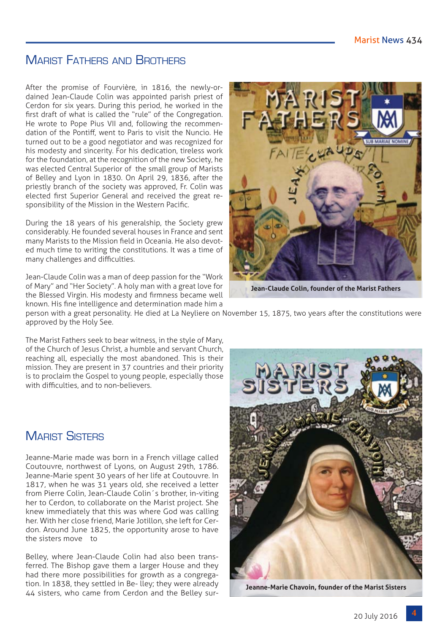# Marist Fathers and Brothers

After the promise of Fourvière, in 1816, the newly-ordained Jean-Claude Colin was appointed parish priest of Cerdon for six years. During this period, he worked in the first draft of what is called the "rule" of the Congregation. He wrote to Pope Pius VII and, following the recommendation of the Pontiff, went to Paris to visit the Nuncio. He turned out to be a good negotiator and was recognized for his modesty and sincerity. For his dedication, tireless work for the foundation, at the recognition of the new Society, he was elected Central Superior of the small group of Marists of Belley and Lyon in 1830. On April 29, 1836, after the priestly branch of the society was approved, Fr. Colin was elected first Superior General and received the great responsibility of the Mission in the Western Pacific.

During the 18 years of his generalship, the Society grew considerably. He founded several houses in France and sent many Marists to the Mission field in Oceania. He also devoted much time to writing the constitutions. It was a time of many challenges and difficulties.

Jean-Claude Colin was a man of deep passion for the "Work of Mary" and "Her Society". A holy man with a great love for the Blessed Virgin. His modesty and firmness became well known. His fine intelligence and determination made him a



**Jean-Claude Colin, founder of the Marist Fathers**

person with a great personality. He died at La Neyliere on November 15, 1875, two years after the constitutions were approved by the Holy See.

The Marist Fathers seek to bear witness, in the style of Mary, of the Church of Jesus Christ, a humble and servant Church, reaching all, especially the most abandoned. This is their mission. They are present in 37 countries and their priority is to proclaim the Gospel to young people, especially those with difficulties, and to non-believers.

## **MARIST SISTERS**

Jeanne-Marie made was born in a French village called Coutouvre, northwest of Lyons, on August 29th, 1786. Jeanne-Marie spent 30 years of her life at Coutouvre. In 1817, when he was 31 years old, she received a letter from Pierre Colin, Jean-Claude Colin´s brother, in-viting her to Cerdon, to collaborate on the Marist project. She knew immediately that this was where God was calling her. With her close friend, Marie Jotillon, she left for Cerdon. Around June 1825, the opportunity arose to have the sisters move to

Belley, where Jean-Claude Colin had also been transferred. The Bishop gave them a larger House and they had there more possibilities for growth as a congregation. In 1838, they settled in Be- lley; they were already 44 sisters, who came from Cerdon and the Belley sur-



**Jeanne-Marie Chavoin, founder of the Marist Sisters**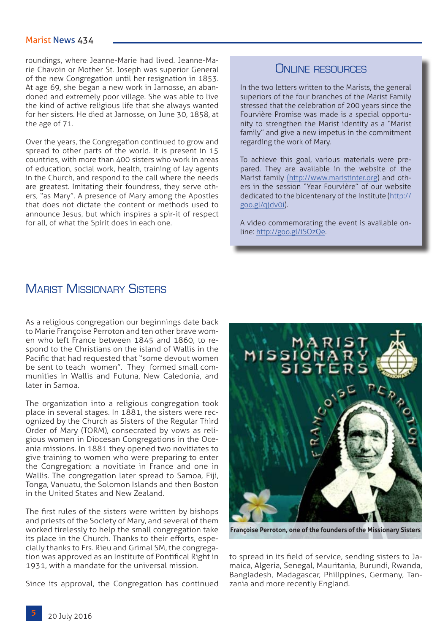roundings, where Jeanne-Marie had lived. Jeanne-Marie Chavoin or Mother St. Joseph was superior General of the new Congregation until her resignation in 1853. At age 69, she began a new work in Jarnosse, an abandoned and extremely poor village. She was able to live the kind of active religious life that she always wanted for her sisters. He died at Jarnosse, on June 30, 1858, at the age of 71.

Over the years, the Congregation continued to grow and spread to other parts of the world. It is present in 15 countries, with more than 400 sisters who work in areas of education, social work, health, training of lay agents in the Church, and respond to the call where the needs are greatest. Imitating their foundress, they serve others, "as Mary". A presence of Mary among the Apostles that does not dictate the content or methods used to announce Jesus, but which inspires a spir-it of respect for all, of what the Spirit does in each one.

#### ONLINE RESOURCES

In the two letters written to the Marists, the general superiors of the four branches of the Marist Family stressed that the celebration of 200 years since the Fourvière Promise was made is a special opportunity to strengthen the Marist identity as a "Marist family" and give a new impetus in the commitment regarding the work of Mary.

To achieve this goal, various materials were prepared. They are available in the website of the Marist family [\(http://www.maristinter.org\)]((http://www.maristinter.org) and others in the session "Year Fourvière" of our website dedicated to the bicentenary of the Institute [\(http://](http://goo.gl/qjdv0i) [goo.gl/qjdv0i](http://goo.gl/qjdv0i)).

A video commemorating the event is available online: <http://goo.gl/iSOzQe>.

### **MARIST MISSIONARY SISTERS**

As a religious congregation our beginnings date back to Marie Françoise Perroton and ten other brave women who left France between 1845 and 1860, to respond to the Christians on the island of Wallis in the Pacific that had requested that "some devout women be sent to teach women". They formed small communities in Wallis and Futuna, New Caledonia, and later in Samoa.

The organization into a religious congregation took place in several stages. In 1881, the sisters were recognized by the Church as Sisters of the Regular Third Order of Mary (TORM), consecrated by vows as religious women in Diocesan Congregations in the Oceania missions. In 1881 they opened two novitiates to give training to women who were preparing to enter the Congregation: a novitiate in France and one in Wallis. The congregation later spread to Samoa, Fiji, Tonga, Vanuatu, the Solomon Islands and then Boston in the United States and New Zealand.

The first rules of the sisters were written by bishops and priests of the Society of Mary, and several of them worked tirelessly to help the small congregation take its place in the Church. Thanks to their efforts, especially thanks to Frs. Rieu and Grimal SM, the congregation was approved as an Institute of Pontifical Right in 1931, with a mandate for the universal mission.

Since its approval, the Congregation has continued



**Françoise Perroton, one of the founders of the Missionary Sisters**

to spread in its field of service, sending sisters to Jamaica, Algeria, Senegal, Mauritania, Burundi, Rwanda, Bangladesh, Madagascar, Philippines, Germany, Tanzania and more recently England.